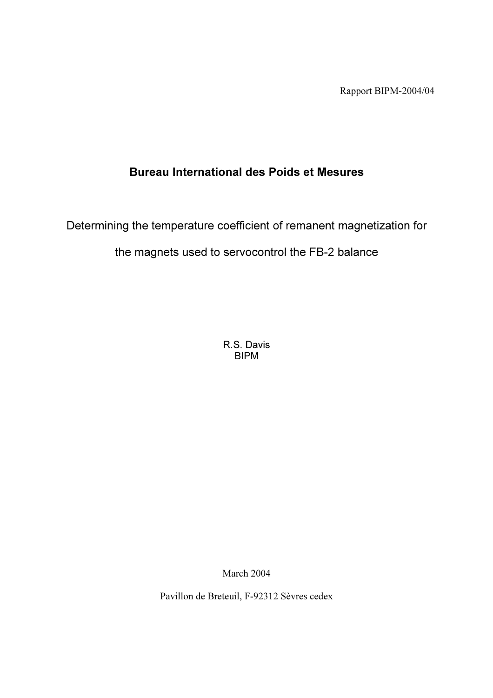Rapport BIPM-2004/04

# Bureau International des Poids et Mesures

Determining the temperature coefficient of remanent magnetization for

the magnets used to servocontrol the FB-2 balance

R.S. Davis BIPM

March 2004

Pavillon de Breteuil, F-92312 Sèvres cedex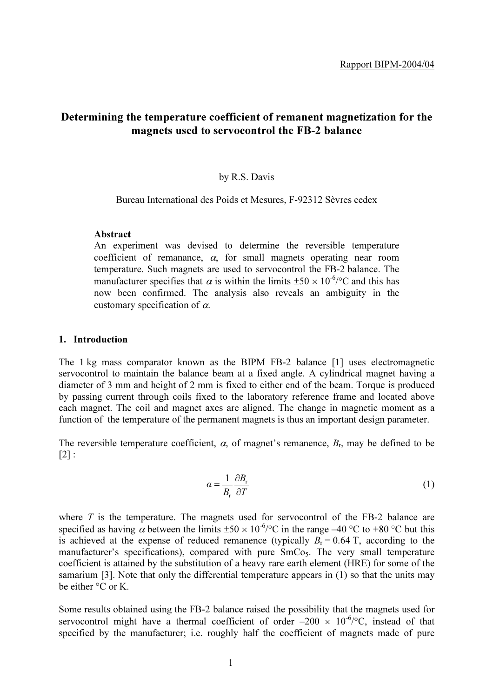## Determining the temperature coefficient of remanent magnetization for the magnets used to servocontrol the FB-2 balance

#### by R.S. Davis

Bureau International des Poids et Mesures, F-92312 Sèvres cedex

## Abstract

An experiment was devised to determine the reversible temperature coefficient of remanance,  $\alpha$ , for small magnets operating near room temperature. Such magnets are used to servocontrol the FB-2 balance. The manufacturer specifies that  $\alpha$  is within the limits  $\pm 50 \times 10^{-6}$  and this has now been confirmed. The analysis also reveals an ambiguity in the customary specification of  $\alpha$ .

#### 1. Introduction

The 1 kg mass comparator known as the BIPM FB-2 balance [1] uses electromagnetic servocontrol to maintain the balance beam at a fixed angle. A cylindrical magnet having a diameter of 3 mm and height of 2 mm is fixed to either end of the beam. Torque is produced by passing current through coils fixed to the laboratory reference frame and located above each magnet. The coil and magnet axes are aligned. The change in magnetic moment as a function of the temperature of the permanent magnets is thus an important design parameter.

The reversible temperature coefficient,  $\alpha$ , of magnet's remanence,  $B_r$ , may be defined to be  $[2]$ :

$$
\alpha = \frac{1}{B_{\rm r}} \frac{\partial B_{\rm r}}{\partial T} \tag{1}
$$

where  $T$  is the temperature. The magnets used for servocontrol of the FB-2 balance are specified as having  $\alpha$  between the limits  $\pm 50 \times 10^{-6}$  °C in the range –40 °C to +80 °C but this is achieved at the expense of reduced remanence (typically  $B_r = 0.64$  T, according to the manufacturer's specifications), compared with pure  $SmCo<sub>5</sub>$ . The very small temperature coefficient is attained by the substitution of a heavy rare earth element (HRE) for some of the samarium [3]. Note that only the differential temperature appears in (1) so that the units may be either °C or K.

Some results obtained using the FB-2 balance raised the possibility that the magnets used for servocontrol might have a thermal coefficient of order  $-200 \times 10^{-6}$ °C, instead of that specified by the manufacturer; i.e. roughly half the coefficient of magnets made of pure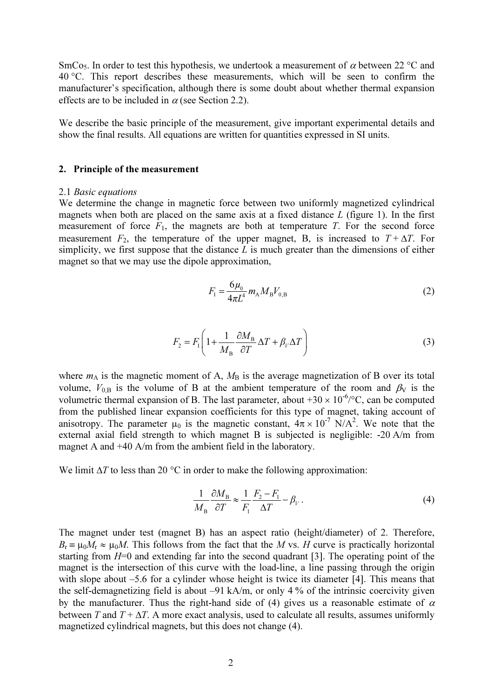SmCo<sub>5</sub>. In order to test this hypothesis, we undertook a measurement of  $\alpha$  between 22 °C and 40 °C. This report describes these measurements, which will be seen to confirm the manufacturer's specification, although there is some doubt about whether thermal expansion effects are to be included in  $\alpha$  (see Section 2.2).

We describe the basic principle of the measurement, give important experimental details and show the final results. All equations are written for quantities expressed in SI units.

#### 2. Principle of the measurement

#### 2.1 Basic equations

We determine the change in magnetic force between two uniformly magnetized cylindrical magnets when both are placed on the same axis at a fixed distance  $L$  (figure 1). In the first measurement of force  $F_1$ , the magnets are both at temperature T. For the second force measurement  $F_2$ , the temperature of the upper magnet, B, is increased to  $T + \Delta T$ . For simplicity, we first suppose that the distance  $L$  is much greater than the dimensions of either magnet so that we may use the dipole approximation,

$$
F_1 = \frac{6\mu_0}{4\pi L^4} m_{\rm A} M_{\rm B} V_{0,\rm B}
$$
 (2)

$$
F_2 = F_1 \left( 1 + \frac{1}{M_B} \frac{\partial M_B}{\partial T} \Delta T + \beta_V \Delta T \right)
$$
 (3)

where  $m_A$  is the magnetic moment of A,  $M_B$  is the average magnetization of B over its total volume,  $V_{0,B}$  is the volume of B at the ambient temperature of the room and  $\beta_V$  is the volumetric thermal expansion of B. The last parameter, about  $+30 \times 10^{-6}$ °C, can be computed from the published linear expansion coefficients for this type of magnet, taking account of anisotropy. The parameter  $\mu_0$  is the magnetic constant,  $4\pi \times 10^{-7}$  N/A<sup>2</sup>. We note that the external axial field strength to which magnet B is subjected is negligible: -20 A/m from magnet A and +40 A/m from the ambient field in the laboratory.

We limit  $\Delta T$  to less than 20 °C in order to make the following approximation:

$$
\frac{1}{M_{\rm B}} \frac{\partial M_{\rm B}}{\partial T} \approx \frac{1}{F_{\rm I}} \frac{F_{\rm 2} - F_{\rm I}}{\Delta T} - \beta_V \,. \tag{4}
$$

The magnet under test (magnet B) has an aspect ratio (height/diameter) of 2. Therefore,  $B_r \equiv \mu_0 M_r \approx \mu_0 M$ . This follows from the fact that the M vs. H curve is practically horizontal starting from  $H=0$  and extending far into the second quadrant [3]. The operating point of the magnet is the intersection of this curve with the load-line, a line passing through the origin with slope about –5.6 for a cylinder whose height is twice its diameter [4]. This means that the self-demagnetizing field is about –91 kA/m, or only 4 % of the intrinsic coercivity given by the manufacturer. Thus the right-hand side of (4) gives us a reasonable estimate of  $\alpha$ between T and  $T + \Delta T$ . A more exact analysis, used to calculate all results, assumes uniformly magnetized cylindrical magnets, but this does not change (4).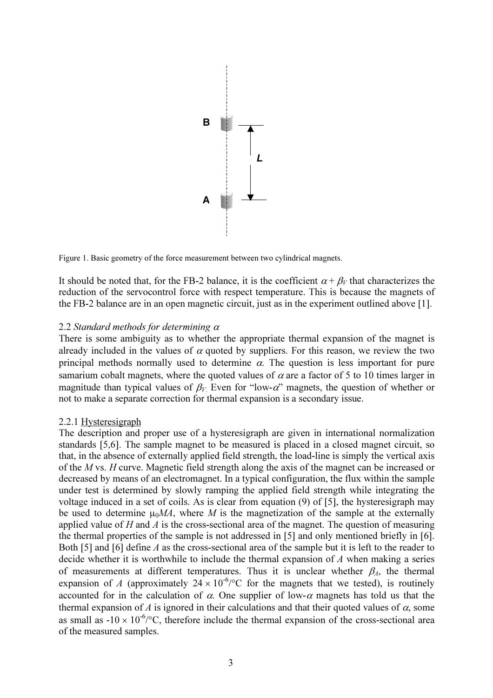

Figure 1. Basic geometry of the force measurement between two cylindrical magnets.

It should be noted that, for the FB-2 balance, it is the coefficient  $\alpha + \beta_V$  that characterizes the reduction of the servocontrol force with respect temperature. This is because the magnets of the FB-2 balance are in an open magnetic circuit, just as in the experiment outlined above [1].

#### 2.2 Standard methods for determining  $\alpha$

There is some ambiguity as to whether the appropriate thermal expansion of the magnet is already included in the values of  $\alpha$  quoted by suppliers. For this reason, we review the two principal methods normally used to determine  $\alpha$ . The question is less important for pure samarium cobalt magnets, where the quoted values of  $\alpha$  are a factor of 5 to 10 times larger in magnitude than typical values of  $\beta_V$  Even for "low-α" magnets, the question of whether or not to make a separate correction for thermal expansion is a secondary issue.

#### 2.2.1 Hysteresigraph

The description and proper use of a hysteresigraph are given in international normalization standards [5,6]. The sample magnet to be measured is placed in a closed magnet circuit, so that, in the absence of externally applied field strength, the load-line is simply the vertical axis of the M vs. H curve. Magnetic field strength along the axis of the magnet can be increased or decreased by means of an electromagnet. In a typical configuration, the flux within the sample under test is determined by slowly ramping the applied field strength while integrating the voltage induced in a set of coils. As is clear from equation (9) of [5], the hysteresigraph may be used to determine  $\mu_0 MA$ , where M is the magnetization of the sample at the externally applied value of  $H$  and  $\Lambda$  is the cross-sectional area of the magnet. The question of measuring the thermal properties of the sample is not addressed in [5] and only mentioned briefly in [6]. Both [5] and [6] define A as the cross-sectional area of the sample but it is left to the reader to decide whether it is worthwhile to include the thermal expansion of A when making a series of measurements at different temperatures. Thus it is unclear whether  $\beta_A$ , the thermal expansion of A (approximately  $24 \times 10^{-6}/^{\circ}$ C for the magnets that we tested), is routinely accounted for in the calculation of  $\alpha$ . One supplier of low- $\alpha$  magnets has told us that the thermal expansion of A is ignored in their calculations and that their quoted values of  $\alpha$ , some as small as  $-10 \times 10^{-6}$ °C, therefore include the thermal expansion of the cross-sectional area of the measured samples.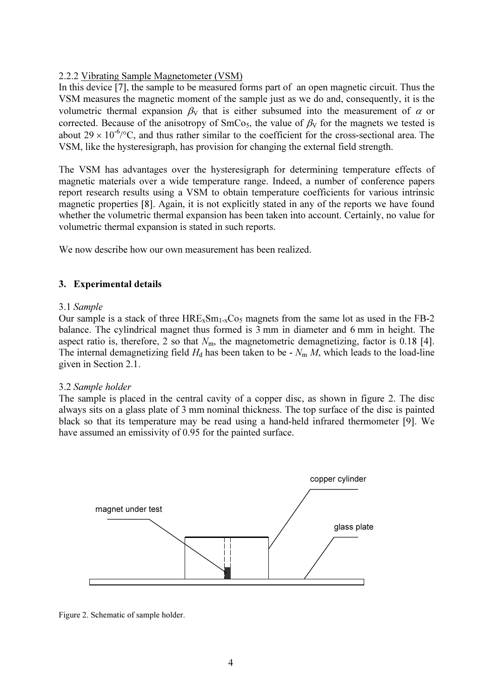## 2.2.2 Vibrating Sample Magnetometer (VSM)

In this device [7], the sample to be measured forms part of an open magnetic circuit. Thus the VSM measures the magnetic moment of the sample just as we do and, consequently, it is the volumetric thermal expansion  $\beta_V$  that is either subsumed into the measurement of  $\alpha$  or corrected. Because of the anisotropy of  $SmCo<sub>5</sub>$ , the value of  $\beta_V$  for the magnets we tested is about  $29 \times 10^{-6}$ /°C, and thus rather similar to the coefficient for the cross-sectional area. The VSM, like the hysteresigraph, has provision for changing the external field strength.

The VSM has advantages over the hysteresigraph for determining temperature effects of magnetic materials over a wide temperature range. Indeed, a number of conference papers report research results using a VSM to obtain temperature coefficients for various intrinsic magnetic properties [8]. Again, it is not explicitly stated in any of the reports we have found whether the volumetric thermal expansion has been taken into account. Certainly, no value for volumetric thermal expansion is stated in such reports.

We now describe how our own measurement has been realized.

## 3. Experimental details

## 3.1 Sample

Our sample is a stack of three  $HRE_xSm_{1-x}Co_5$  magnets from the same lot as used in the FB-2 balance. The cylindrical magnet thus formed is 3 mm in diameter and 6 mm in height. The aspect ratio is, therefore, 2 so that  $N<sub>m</sub>$ , the magnetometric demagnetizing, factor is 0.18 [4]. The internal demagnetizing field  $H_d$  has been taken to be -  $N_m M$ , which leads to the load-line given in Section 2.1.

## 3.2 Sample holder

The sample is placed in the central cavity of a copper disc, as shown in figure 2. The disc always sits on a glass plate of 3 mm nominal thickness. The top surface of the disc is painted black so that its temperature may be read using a hand-held infrared thermometer [9]. We have assumed an emissivity of 0.95 for the painted surface.



Figure 2. Schematic of sample holder.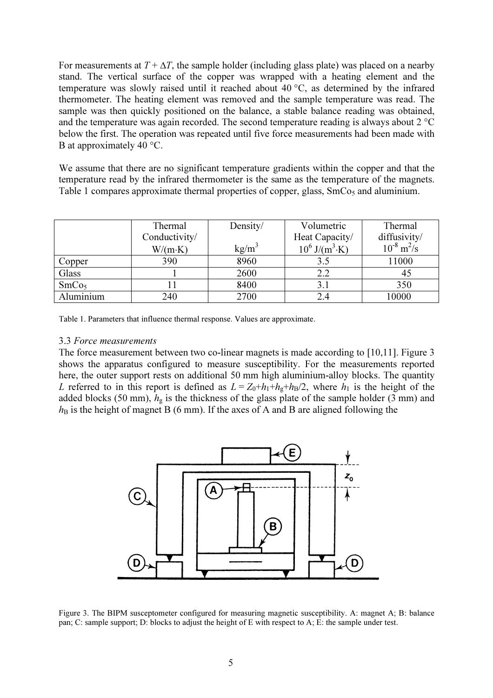For measurements at  $T + \Delta T$ , the sample holder (including glass plate) was placed on a nearby stand. The vertical surface of the copper was wrapped with a heating element and the temperature was slowly raised until it reached about 40 °C, as determined by the infrared thermometer. The heating element was removed and the sample temperature was read. The sample was then quickly positioned on the balance, a stable balance reading was obtained, and the temperature was again recorded. The second temperature reading is always about 2 °C below the first. The operation was repeated until five force measurements had been made with B at approximately 40 °C.

We assume that there are no significant temperature gradients within the copper and that the temperature read by the infrared thermometer is the same as the temperature of the magnets. Table 1 compares approximate thermal properties of copper, glass,  $SmCo<sub>5</sub>$  and aluminium.

|                   | Thermal         | Density/ | Volumetric                   | Thermal                     |
|-------------------|-----------------|----------|------------------------------|-----------------------------|
|                   | Conductivity/   |          | Heat Capacity/               | diffusivity/                |
|                   | $W/(m \cdot K)$ | $kg/m^3$ | $10^6$ J/(m <sup>3</sup> ·K) | $10^{-8}$ m <sup>2</sup> /s |
| Copper            | 390             | 8960     | 3.5                          | 11000                       |
| Glass             |                 | 2600     | 2.2                          | 45                          |
| SmCo <sub>5</sub> |                 | 8400     | 3.1                          | 350                         |
| Aluminium         | 240             | 2700     | 2.4                          | 10000                       |

Table 1. Parameters that influence thermal response. Values are approximate.

#### 3.3 Force measurements

The force measurement between two co-linear magnets is made according to [10,11]. Figure 3 shows the apparatus configured to measure susceptibility. For the measurements reported here, the outer support rests on additional 50 mm high aluminium-alloy blocks. The quantity L referred to in this report is defined as  $L = Z_0 + h_1 + h_2 + h_3/2$ , where  $h_1$  is the height of the added blocks (50 mm),  $h<sub>g</sub>$  is the thickness of the glass plate of the sample holder (3 mm) and  $h_B$  is the height of magnet B (6 mm). If the axes of A and B are aligned following the



Figure 3. The BIPM susceptometer configured for measuring magnetic susceptibility. A: magnet A; B: balance pan; C: sample support; D: blocks to adjust the height of E with respect to A; E: the sample under test.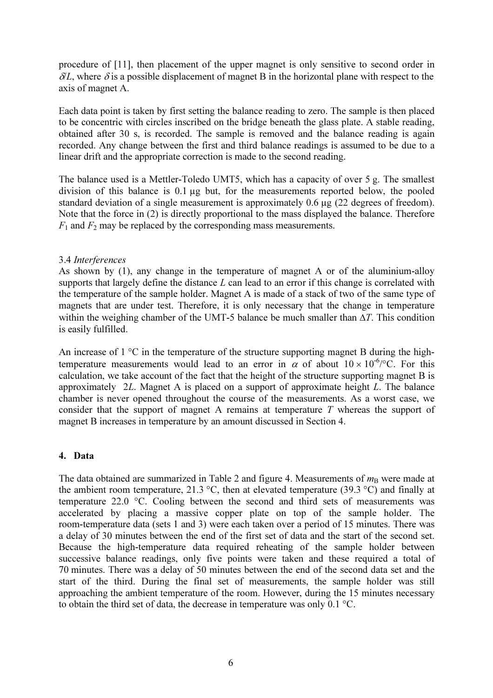procedure of [11], then placement of the upper magnet is only sensitive to second order in  $\delta L$ , where  $\delta$  is a possible displacement of magnet B in the horizontal plane with respect to the axis of magnet A.

Each data point is taken by first setting the balance reading to zero. The sample is then placed to be concentric with circles inscribed on the bridge beneath the glass plate. A stable reading, obtained after 30 s, is recorded. The sample is removed and the balance reading is again recorded. Any change between the first and third balance readings is assumed to be due to a linear drift and the appropriate correction is made to the second reading.

The balance used is a Mettler-Toledo UMT5, which has a capacity of over 5 g. The smallest division of this balance is 0.1 µg but, for the measurements reported below, the pooled standard deviation of a single measurement is approximately 0.6 µg (22 degrees of freedom). Note that the force in (2) is directly proportional to the mass displayed the balance. Therefore  $F_1$  and  $F_2$  may be replaced by the corresponding mass measurements.

## 3.4 Interferences

As shown by (1), any change in the temperature of magnet A or of the aluminium-alloy supports that largely define the distance  $L$  can lead to an error if this change is correlated with the temperature of the sample holder. Magnet A is made of a stack of two of the same type of magnets that are under test. Therefore, it is only necessary that the change in temperature within the weighing chamber of the UMT-5 balance be much smaller than  $\Delta T$ . This condition is easily fulfilled.

An increase of 1 °C in the temperature of the structure supporting magnet B during the hightemperature measurements would lead to an error in  $\alpha$  of about  $10 \times 10^{-6}$ °C. For this calculation, we take account of the fact that the height of the structure supporting magnet B is approximately 2L. Magnet A is placed on a support of approximate height L. The balance chamber is never opened throughout the course of the measurements. As a worst case, we consider that the support of magnet A remains at temperature  $T$  whereas the support of magnet B increases in temperature by an amount discussed in Section 4.

## 4. Data

The data obtained are summarized in Table 2 and figure 4. Measurements of  $m_B$  were made at the ambient room temperature, 21.3 °C, then at elevated temperature (39.3 °C) and finally at temperature 22.0 °C. Cooling between the second and third sets of measurements was accelerated by placing a massive copper plate on top of the sample holder. The room-temperature data (sets 1 and 3) were each taken over a period of 15 minutes. There was a delay of 30 minutes between the end of the first set of data and the start of the second set. Because the high-temperature data required reheating of the sample holder between successive balance readings, only five points were taken and these required a total of 70 minutes. There was a delay of 50 minutes between the end of the second data set and the start of the third. During the final set of measurements, the sample holder was still approaching the ambient temperature of the room. However, during the 15 minutes necessary to obtain the third set of data, the decrease in temperature was only 0.1 °C.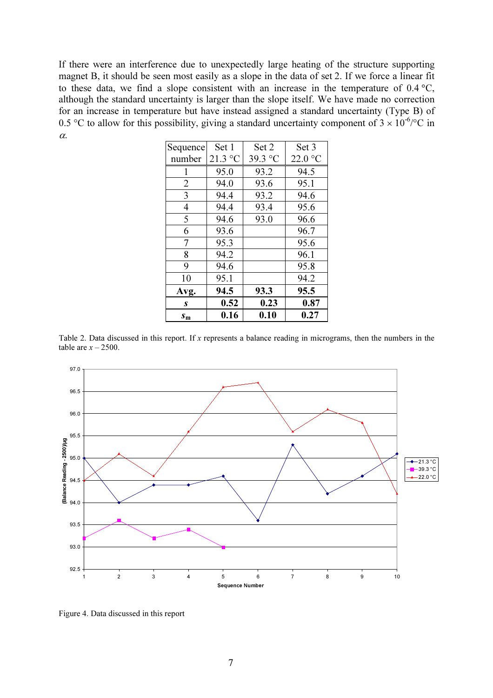If there were an interference due to unexpectedly large heating of the structure supporting magnet B, it should be seen most easily as a slope in the data of set 2. If we force a linear fit to these data, we find a slope consistent with an increase in the temperature of 0.4 °C, although the standard uncertainty is larger than the slope itself. We have made no correction for an increase in temperature but have instead assigned a standard uncertainty (Type B) of 0.5 °C to allow for this possibility, giving a standard uncertainty component of  $3 \times 10^{-6}$  °C in α.

| Sequence       | Set 1   | Set 2            | Set 3   |
|----------------|---------|------------------|---------|
| number         | 21.3 °C | 39.3 $\degree$ C | 22.0 °C |
| 1              | 95.0    | 93.2             | 94.5    |
| $\overline{2}$ | 94.0    | 93.6             | 95.1    |
| 3              | 94.4    | 93.2             | 94.6    |
| $\overline{4}$ | 94.4    | 93.4             | 95.6    |
| 5              | 94.6    | 93.0             | 96.6    |
| 6              | 93.6    |                  | 96.7    |
| 7              | 95.3    |                  | 95.6    |
| 8              | 94.2    |                  | 96.1    |
| 9              | 94.6    |                  | 95.8    |
| 10             | 95.1    |                  | 94.2    |
| Avg.           | 94.5    | 93.3             | 95.5    |
| S              | 0.52    | 0.23             | 0.87    |
| $S_{m}$        | 0.16    | 0.10             | 0.27    |

Table 2. Data discussed in this report. If x represents a balance reading in micrograms, then the numbers in the table are  $x - 2500$ .



Figure 4. Data discussed in this report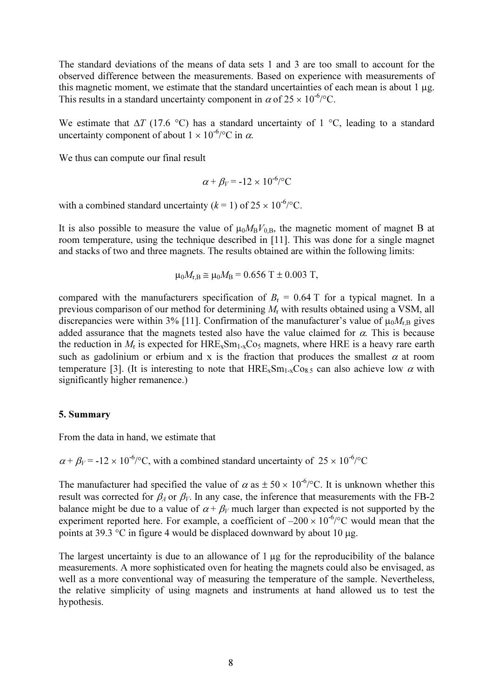The standard deviations of the means of data sets 1 and 3 are too small to account for the observed difference between the measurements. Based on experience with measurements of this magnetic moment, we estimate that the standard uncertainties of each mean is about 1 µg. This results in a standard uncertainty component in  $\alpha$  of  $25 \times 10^{-6}$ °C.

We estimate that  $\Delta T$  (17.6 °C) has a standard uncertainty of 1 °C, leading to a standard uncertainty component of about  $1 \times 10^{-6}$  /°C in  $\alpha$ .

We thus can compute our final result

$$
\alpha + \beta_V = -12 \times 10^{-6} / \text{°C}
$$

with a combined standard uncertainty ( $k = 1$ ) of  $25 \times 10^{-6}$ °C.

It is also possible to measure the value of  $\mu_0 M_B V_{0,B}$ , the magnetic moment of magnet B at room temperature, using the technique described in [11]. This was done for a single magnet and stacks of two and three magnets. The results obtained are within the following limits:

$$
\mu_0 M_{r,B} \cong \mu_0 M_B = 0.656 \ T \pm 0.003 \ T,
$$

compared with the manufacturers specification of  $B_r = 0.64$  T for a typical magnet. In a previous comparison of our method for determining  $M_r$  with results obtained using a VSM, all discrepancies were within 3% [11]. Confirmation of the manufacturer's value of  $\mu_0 M_{r,B}$  gives added assurance that the magnets tested also have the value claimed for  $\alpha$ . This is because the reduction in  $M_r$  is expected for  $HRE_xSm_{1-x}Co_5$  magnets, where HRE is a heavy rare earth such as gadolinium or erbium and x is the fraction that produces the smallest  $\alpha$  at room temperature [3]. (It is interesting to note that  $HRE_xSm_{1-x}Co_8$ , can also achieve low  $\alpha$  with significantly higher remanence.)

#### 5. Summary

From the data in hand, we estimate that

 $\alpha + \beta_V = -12 \times 10^{-6}$ °C, with a combined standard uncertainty of  $25 \times 10^{-6}$ °C

The manufacturer had specified the value of  $\alpha$  as  $\pm 50 \times 10^{-6}$  C. It is unknown whether this result was corrected for  $\beta_A$  or  $\beta_V$ . In any case, the inference that measurements with the FB-2 balance might be due to a value of  $\alpha + \beta_V$  much larger than expected is not supported by the experiment reported here. For example, a coefficient of  $-200 \times 10^{-6}$ °C would mean that the points at 39.3 °C in figure 4 would be displaced downward by about 10 µg.

The largest uncertainty is due to an allowance of  $1 \mu g$  for the reproducibility of the balance measurements. A more sophisticated oven for heating the magnets could also be envisaged, as well as a more conventional way of measuring the temperature of the sample. Nevertheless, the relative simplicity of using magnets and instruments at hand allowed us to test the hypothesis.